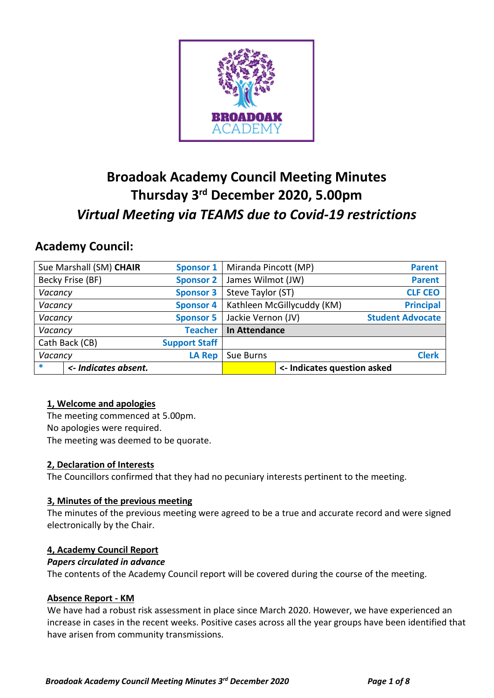

# **Broadoak Academy Council Meeting Minutes Thursday 3 rd December 2020, 5.00pm** *Virtual Meeting via TEAMS due to Covid-19 restrictions*

## **Academy Council:**

| Sue Marshall (SM) CHAIR |                      | <b>Sponsor 1</b>     | Miranda Pincott (MP)       |                             | <b>Parent</b>           |
|-------------------------|----------------------|----------------------|----------------------------|-----------------------------|-------------------------|
| Becky Frise (BF)        |                      | <b>Sponsor 2</b>     | James Wilmot (JW)          |                             | <b>Parent</b>           |
| Vacancy                 |                      | <b>Sponsor 3</b>     | Steve Taylor (ST)          |                             | <b>CLF CEO</b>          |
| Vacancy                 |                      | <b>Sponsor 4</b>     | Kathleen McGillycuddy (KM) |                             | <b>Principal</b>        |
| Vacancy                 |                      | <b>Sponsor 5</b>     | Jackie Vernon (JV)         |                             | <b>Student Advocate</b> |
| Vacancy                 |                      | <b>Teacher</b>       | <b>In Attendance</b>       |                             |                         |
| Cath Back (CB)          |                      | <b>Support Staff</b> |                            |                             |                         |
| Vacancy                 |                      | <b>LA Rep</b>        | Sue Burns                  |                             | <b>Clerk</b>            |
| $\ast$                  | <- Indicates absent. |                      |                            | <- Indicates question asked |                         |

## **1, Welcome and apologies**

The meeting commenced at 5.00pm. No apologies were required. The meeting was deemed to be quorate.

## **2, Declaration of Interests**

The Councillors confirmed that they had no pecuniary interests pertinent to the meeting.

## **3, Minutes of the previous meeting**

The minutes of the previous meeting were agreed to be a true and accurate record and were signed electronically by the Chair.

## **4, Academy Council Report**

## *Papers circulated in advance*

The contents of the Academy Council report will be covered during the course of the meeting.

## **Absence Report - KM**

We have had a robust risk assessment in place since March 2020. However, we have experienced an increase in cases in the recent weeks. Positive cases across all the year groups have been identified that have arisen from community transmissions.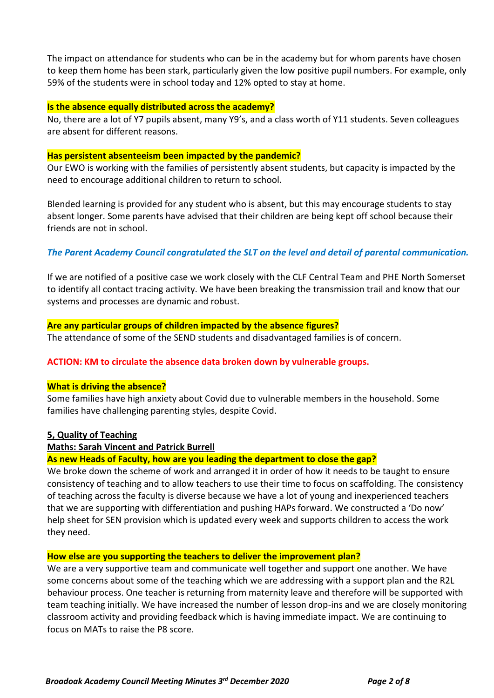The impact on attendance for students who can be in the academy but for whom parents have chosen to keep them home has been stark, particularly given the low positive pupil numbers. For example, only 59% of the students were in school today and 12% opted to stay at home.

#### **Is the absence equally distributed across the academy?**

No, there are a lot of Y7 pupils absent, many Y9's, and a class worth of Y11 students. Seven colleagues are absent for different reasons.

#### **Has persistent absenteeism been impacted by the pandemic?**

Our EWO is working with the families of persistently absent students, but capacity is impacted by the need to encourage additional children to return to school.

Blended learning is provided for any student who is absent, but this may encourage students to stay absent longer. Some parents have advised that their children are being kept off school because their friends are not in school.

## *The Parent Academy Council congratulated the SLT on the level and detail of parental communication.*

If we are notified of a positive case we work closely with the CLF Central Team and PHE North Somerset to identify all contact tracing activity. We have been breaking the transmission trail and know that our systems and processes are dynamic and robust.

#### **Are any particular groups of children impacted by the absence figures?**

The attendance of some of the SEND students and disadvantaged families is of concern.

#### **ACTION: KM to circulate the absence data broken down by vulnerable groups.**

#### **What is driving the absence?**

Some families have high anxiety about Covid due to vulnerable members in the household. Some families have challenging parenting styles, despite Covid.

#### **5, Quality of Teaching**

#### **Maths: Sarah Vincent and Patrick Burrell**

#### **As new Heads of Faculty, how are you leading the department to close the gap?**

We broke down the scheme of work and arranged it in order of how it needs to be taught to ensure consistency of teaching and to allow teachers to use their time to focus on scaffolding. The consistency of teaching across the faculty is diverse because we have a lot of young and inexperienced teachers that we are supporting with differentiation and pushing HAPs forward. We constructed a 'Do now' help sheet for SEN provision which is updated every week and supports children to access the work they need.

#### **How else are you supporting the teachers to deliver the improvement plan?**

We are a very supportive team and communicate well together and support one another. We have some concerns about some of the teaching which we are addressing with a support plan and the R2L behaviour process. One teacher is returning from maternity leave and therefore will be supported with team teaching initially. We have increased the number of lesson drop-ins and we are closely monitoring classroom activity and providing feedback which is having immediate impact. We are continuing to focus on MATs to raise the P8 score.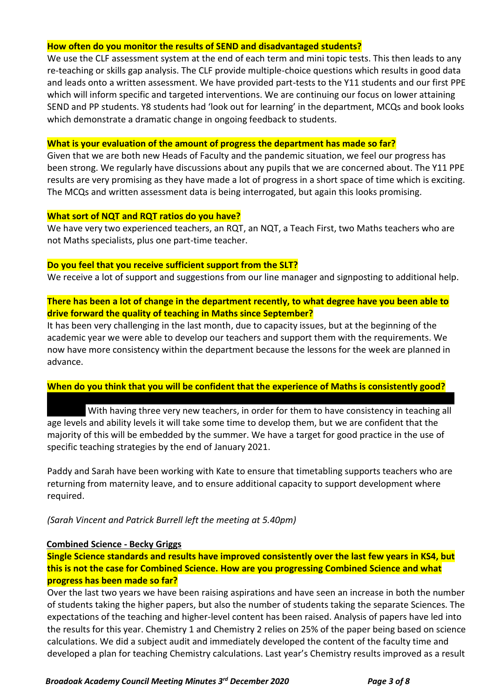#### **How often do you monitor the results of SEND and disadvantaged students?**

We use the CLF assessment system at the end of each term and mini topic tests. This then leads to any re-teaching or skills gap analysis. The CLF provide multiple-choice questions which results in good data and leads onto a written assessment. We have provided part-tests to the Y11 students and our first PPE which will inform specific and targeted interventions. We are continuing our focus on lower attaining SEND and PP students. Y8 students had 'look out for learning' in the department, MCQs and book looks which demonstrate a dramatic change in ongoing feedback to students.

#### **What is your evaluation of the amount of progress the department has made so far?**

Given that we are both new Heads of Faculty and the pandemic situation, we feel our progress has been strong. We regularly have discussions about any pupils that we are concerned about. The Y11 PPE results are very promising as they have made a lot of progress in a short space of time which is exciting. The MCQs and written assessment data is being interrogated, but again this looks promising.

#### **What sort of NQT and RQT ratios do you have?**

We have very two experienced teachers, an RQT, an NQT, a Teach First, two Maths teachers who are not Maths specialists, plus one part-time teacher.

#### **Do you feel that you receive sufficient support from the SLT?**

We receive a lot of support and suggestions from our line manager and signposting to additional help.

## **There has been a lot of change in the department recently, to what degree have you been able to drive forward the quality of teaching in Maths since September?**

It has been very challenging in the last month, due to capacity issues, but at the beginning of the academic year we were able to develop our teachers and support them with the requirements. We now have more consistency within the department because the lessons for the week are planned in advance.

## **When do you think that you will be confident that the experience of Maths is consistently good?**

With having three very new teachers, in order for them to have consistency in teaching all age levels and ability levels it will take some time to develop them, but we are confident that the majority of this will be embedded by the summer. We have a target for good practice in the use of specific teaching strategies by the end of January 2021.

There is a support plan in place for one member of staff, there is progress, but we need to say where

Paddy and Sarah have been working with Kate to ensure that timetabling supports teachers who are returning from maternity leave, and to ensure additional capacity to support development where required.

## *(Sarah Vincent and Patrick Burrell left the meeting at 5.40pm)*

#### **Combined Science - Becky Griggs**

**Single Science standards and results have improved consistently over the last few years in KS4, but this is not the case for Combined Science. How are you progressing Combined Science and what progress has been made so far?**

Over the last two years we have been raising aspirations and have seen an increase in both the number of students taking the higher papers, but also the number of students taking the separate Sciences. The expectations of the teaching and higher-level content has been raised. Analysis of papers have led into the results for this year. Chemistry 1 and Chemistry 2 relies on 25% of the paper being based on science calculations. We did a subject audit and immediately developed the content of the faculty time and developed a plan for teaching Chemistry calculations. Last year's Chemistry results improved as a result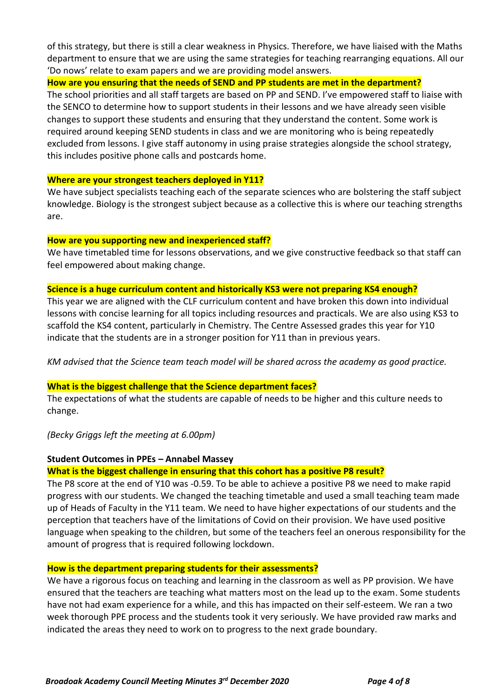of this strategy, but there is still a clear weakness in Physics. Therefore, we have liaised with the Maths department to ensure that we are using the same strategies for teaching rearranging equations. All our 'Do nows' relate to exam papers and we are providing model answers.

#### **How are you ensuring that the needs of SEND and PP students are met in the department?**

The school priorities and all staff targets are based on PP and SEND. I've empowered staff to liaise with the SENCO to determine how to support students in their lessons and we have already seen visible changes to support these students and ensuring that they understand the content. Some work is required around keeping SEND students in class and we are monitoring who is being repeatedly excluded from lessons. I give staff autonomy in using praise strategies alongside the school strategy, this includes positive phone calls and postcards home.

#### **Where are your strongest teachers deployed in Y11?**

We have subject specialists teaching each of the separate sciences who are bolstering the staff subject knowledge. Biology is the strongest subject because as a collective this is where our teaching strengths are.

#### **How are you supporting new and inexperienced staff?**

We have timetabled time for lessons observations, and we give constructive feedback so that staff can feel empowered about making change.

#### **Science is a huge curriculum content and historically KS3 were not preparing KS4 enough?**

This year we are aligned with the CLF curriculum content and have broken this down into individual lessons with concise learning for all topics including resources and practicals. We are also using KS3 to scaffold the KS4 content, particularly in Chemistry. The Centre Assessed grades this year for Y10 indicate that the students are in a stronger position for Y11 than in previous years.

*KM advised that the Science team teach model will be shared across the academy as good practice.*

#### **What is the biggest challenge that the Science department faces?**

The expectations of what the students are capable of needs to be higher and this culture needs to change.

#### *(Becky Griggs left the meeting at 6.00pm)*

#### **Student Outcomes in PPEs – Annabel Massey**

#### **What is the biggest challenge in ensuring that this cohort has a positive P8 result?**

The P8 score at the end of Y10 was -0.59. To be able to achieve a positive P8 we need to make rapid progress with our students. We changed the teaching timetable and used a small teaching team made up of Heads of Faculty in the Y11 team. We need to have higher expectations of our students and the perception that teachers have of the limitations of Covid on their provision. We have used positive language when speaking to the children, but some of the teachers feel an onerous responsibility for the amount of progress that is required following lockdown.

#### **How is the department preparing students for their assessments?**

We have a rigorous focus on teaching and learning in the classroom as well as PP provision. We have ensured that the teachers are teaching what matters most on the lead up to the exam. Some students have not had exam experience for a while, and this has impacted on their self-esteem. We ran a two week thorough PPE process and the students took it very seriously. We have provided raw marks and indicated the areas they need to work on to progress to the next grade boundary.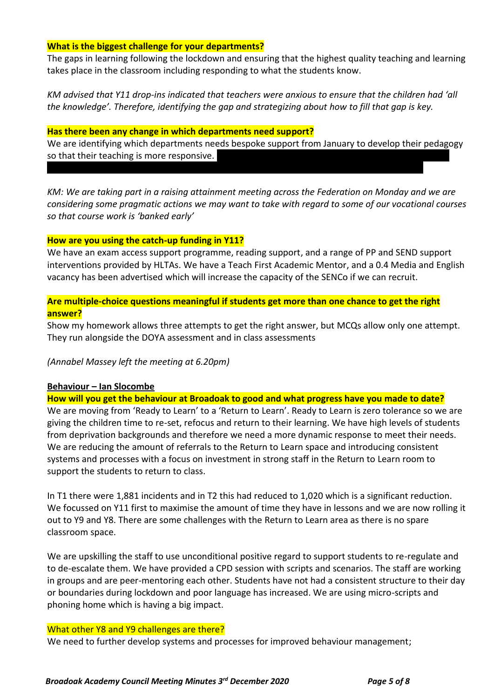#### **What is the biggest challenge for your departments?**

The gaps in learning following the lockdown and ensuring that the highest quality teaching and learning takes place in the classroom including responding to what the students know.

*KM advised that Y11 drop-ins indicated that teachers were anxious to ensure that the children had 'all the knowledge'. Therefore, identifying the gap and strategizing about how to fill that gap is key.*

#### **Has there been any change in which departments need support?**

We are identifying which departments needs bespoke support from January to develop their pedagogy so that their teaching is more responsive.

*KM: We are taking part in a raising attainment meeting across the Federation on Monday and we are considering some pragmatic actions we may want to take with regard to some of our vocational courses so that course work is 'banked early'*

#### **How are you using the catch-up funding in Y11?**

We have an exam access support programme, reading support, and a range of PP and SEND support interventions provided by HLTAs. We have a Teach First Academic Mentor, and a 0.4 Media and English vacancy has been advertised which will increase the capacity of the SENCo if we can recruit.

## **Are multiple-choice questions meaningful if students get more than one chance to get the right answer?**

Show my homework allows three attempts to get the right answer, but MCQs allow only one attempt. They run alongside the DOYA assessment and in class assessments

#### *(Annabel Massey left the meeting at 6.20pm)*

#### **Behaviour – Ian Slocombe**

**How will you get the behaviour at Broadoak to good and what progress have you made to date?**

We are moving from 'Ready to Learn' to a 'Return to Learn'. Ready to Learn is zero tolerance so we are giving the children time to re-set, refocus and return to their learning. We have high levels of students from deprivation backgrounds and therefore we need a more dynamic response to meet their needs. We are reducing the amount of referrals to the Return to Learn space and introducing consistent systems and processes with a focus on investment in strong staff in the Return to Learn room to support the students to return to class.

In T1 there were 1,881 incidents and in T2 this had reduced to 1,020 which is a significant reduction. We focussed on Y11 first to maximise the amount of time they have in lessons and we are now rolling it out to Y9 and Y8. There are some challenges with the Return to Learn area as there is no spare classroom space.

We are upskilling the staff to use unconditional positive regard to support students to re-regulate and to de-escalate them. We have provided a CPD session with scripts and scenarios. The staff are working in groups and are peer-mentoring each other. Students have not had a consistent structure to their day or boundaries during lockdown and poor language has increased. We are using micro-scripts and phoning home which is having a big impact.

#### What other Y8 and Y9 challenges are there?

We need to further develop systems and processes for improved behaviour management;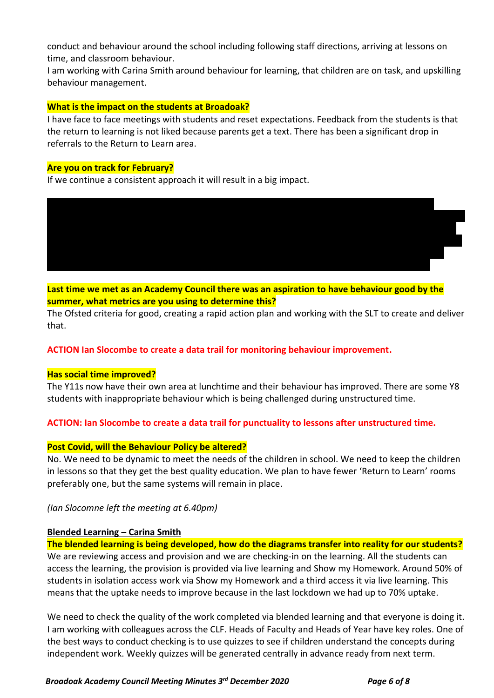conduct and behaviour around the school including following staff directions, arriving at lessons on time, and classroom behaviour.

I am working with Carina Smith around behaviour for learning, that children are on task, and upskilling behaviour management.

#### **What is the impact on the students at Broadoak?**

I have face to face meetings with students and reset expectations. Feedback from the students is that the return to learning is not liked because parents get a text. There has been a significant drop in referrals to the Return to Learn area.

#### **Are you on track for February?**

If we continue a consistent approach it will result in a big impact.

*KM; We have avoided the permanent exclusion of two Y11 boys and there has been a significant reduction in fixed-term exclusions due to the strong culture of inclusion. Challenging students have been kept in school and retained in their bubbles. The majority of these children had a SEND need therefore Since September there has been a significant increase in physical restraint which revolves around a* 

**Last time we met as an Academy Council there was an aspiration to have behaviour good by the summer, what metrics are you using to determine this?**

The Ofsted criteria for good, creating a rapid action plan and working with the SLT to create and deliver that.

#### **ACTION Ian Slocombe to create a data trail for monitoring behaviour improvement.**

#### **Has social time improved?**

The Y11s now have their own area at lunchtime and their behaviour has improved. There are some Y8 students with inappropriate behaviour which is being challenged during unstructured time.

#### **ACTION: Ian Slocombe to create a data trail for punctuality to lessons after unstructured time.**

#### **Post Covid, will the Behaviour Policy be altered?**

No. We need to be dynamic to meet the needs of the children in school. We need to keep the children in lessons so that they get the best quality education. We plan to have fewer 'Return to Learn' rooms preferably one, but the same systems will remain in place.

*(Ian Slocomne left the meeting at 6.40pm)*

#### **Blended Learning – Carina Smith**

**The blended learning is being developed, how do the diagrams transfer into reality for our students?** We are reviewing access and provision and we are checking-in on the learning. All the students can access the learning, the provision is provided via live learning and Show my Homework. Around 50% of students in isolation access work via Show my Homework and a third access it via live learning. This means that the uptake needs to improve because in the last lockdown we had up to 70% uptake.

We need to check the quality of the work completed via blended learning and that everyone is doing it. I am working with colleagues across the CLF. Heads of Faculty and Heads of Year have key roles. One of the best ways to conduct checking is to use quizzes to see if children understand the concepts during independent work. Weekly quizzes will be generated centrally in advance ready from next term.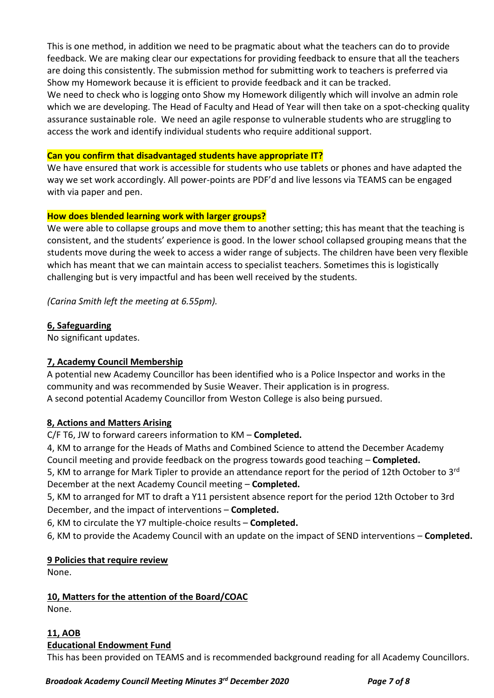This is one method, in addition we need to be pragmatic about what the teachers can do to provide feedback. We are making clear our expectations for providing feedback to ensure that all the teachers are doing this consistently. The submission method for submitting work to teachers is preferred via Show my Homework because it is efficient to provide feedback and it can be tracked.

We need to check who is logging onto Show my Homework diligently which will involve an admin role which we are developing. The Head of Faculty and Head of Year will then take on a spot-checking quality assurance sustainable role. We need an agile response to vulnerable students who are struggling to access the work and identify individual students who require additional support.

## **Can you confirm that disadvantaged students have appropriate IT?**

We have ensured that work is accessible for students who use tablets or phones and have adapted the way we set work accordingly. All power-points are PDF'd and live lessons via TEAMS can be engaged with via paper and pen.

## **How does blended learning work with larger groups?**

We were able to collapse groups and move them to another setting; this has meant that the teaching is consistent, and the students' experience is good. In the lower school collapsed grouping means that the students move during the week to access a wider range of subjects. The children have been very flexible which has meant that we can maintain access to specialist teachers. Sometimes this is logistically challenging but is very impactful and has been well received by the students.

*(Carina Smith left the meeting at 6.55pm).*

## **6, Safeguarding**

No significant updates.

## **7, Academy Council Membership**

A potential new Academy Councillor has been identified who is a Police Inspector and works in the community and was recommended by Susie Weaver. Their application is in progress. A second potential Academy Councillor from Weston College is also being pursued.

#### **8, Actions and Matters Arising**

C/F T6, JW to forward careers information to KM – **Completed.**

4, KM to arrange for the Heads of Maths and Combined Science to attend the December Academy Council meeting and provide feedback on the progress towards good teaching – **Completed.**

5, KM to arrange for Mark Tipler to provide an attendance report for the period of 12th October to 3<sup>rd</sup> December at the next Academy Council meeting – **Completed.**

5, KM to arranged for MT to draft a Y11 persistent absence report for the period 12th October to 3rd December, and the impact of interventions – **Completed.**

6, KM to circulate the Y7 multiple-choice results – **Completed.**

6, KM to provide the Academy Council with an update on the impact of SEND interventions – **Completed.**

#### **9 Policies that require review**

None.

## **10, Matters for the attention of the Board/COAC**

None.

#### **11, AOB Educational Endowment Fund**

This has been provided on TEAMS and is recommended background reading for all Academy Councillors.